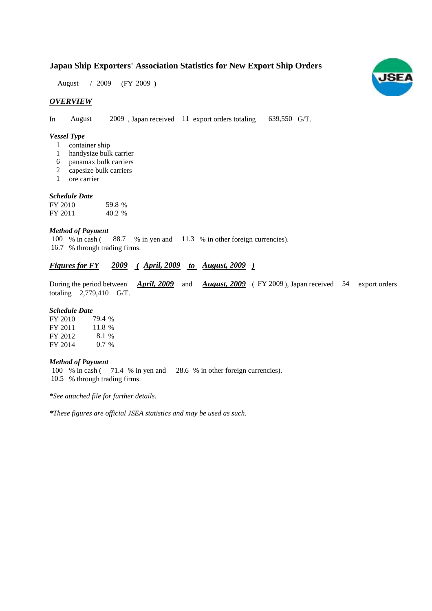# **Japan Ship Exporters' Association Statistics for New Export Ship Orders**

August / 2009 (FY 2009)

### *OVERVIEW*

In August 2009, Japan received 11 export orders totaling 639,550 G/T.

#### *Vessel Type*

- container ship 1
- handysize bulk carrier 1
- panamax bulk carriers 6
- capesize bulk carriers 2
- ore carrier 1

## *Schedule Date*

| FY 2010 | 59.8 % |
|---------|--------|
| FY 2011 | 40.2 % |

### *Method of Payment*

% in cash (88.7 % in yen and 11.3 % in other foreign currencies). % through trading firms. 16.7 100 % in cash (

## *Figures for FY* 2009 (April, 2009 to August, 2009)

During the period between *April, 2009* and *August, 2009* (FY 2009), Japan received 54 export orders totaling  $2,779,410$  G/T.

#### *Schedule Date*

| FY 2010 | 79.4 %  |
|---------|---------|
| FY 2011 | 11.8 %  |
| FY 2012 | 8.1 %   |
| FY 2014 | $0.7\%$ |

#### *Method of Payment*

100 % in cash (71.4 % in yen and 28.6 % in other foreign currencies). % through trading firms. 10.5

*\*See attached file for further details.*

*\*These figures are official JSEA statistics and may be used as such.*

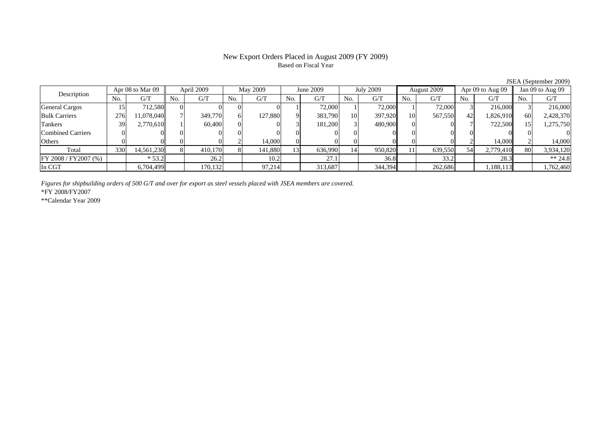## New Export Orders Placed in August 2009 (FY 2009) Based on Fiscal Year

|                          |     | Apr 08 to Mar 09 |     | April 2009 |     | <b>May 2009</b> |                 | June 2009 |     | <b>July 2009</b> |     | August 2009 |          | Apr 09 to Aug 09 |     | Jan 09 to Aug 09 |
|--------------------------|-----|------------------|-----|------------|-----|-----------------|-----------------|-----------|-----|------------------|-----|-------------|----------|------------------|-----|------------------|
| Description              | No. | G/T              | No. | G/T        | No. | G/T             | No.             | G/T       | No. | G/T              | No. | G/T         | No.      | G/T              | No. | G/T              |
| General Cargos           |     | 712,580          |     |            |     |                 |                 | 72,000    |     | 72,000           |     | 72,000      |          | 216,000          |     | 216,000          |
| <b>Bulk Carriers</b>     | 276 | 11,078,040       |     | 349,770    |     | 127,880         | $\mathbf Q$     | 383,790   | 10  | 397,920          | 10  | 567,550     | 42       | 1,826,910        | 60  | 2,428,370        |
| Tankers                  | 39  | 2,770,610        |     | 60,400     |     |                 |                 | 181.200   |     | 480,900          |     |             |          | 722,500          |     | 1,275,750        |
| <b>Combined Carriers</b> |     |                  |     |            |     |                 |                 |           |     |                  |     |             | $\Omega$ |                  |     |                  |
| Others                   |     |                  |     |            |     | 14.000          |                 |           |     |                  |     |             |          | 14.000           |     | 14,000           |
| Total                    | 330 | 14,561,230       |     | 410.170    |     | 141,880         | $\overline{13}$ | 636,990   | 14  | 950,820          | 11  | 639,550     | 54       | 2,779,410        | 80  | 3,934,120        |
| FY 2008 / FY2007 (%)     |     | $*53.2$          |     | 26.2       |     | 10.2            |                 | 27.1      |     | 36.8             |     | 33.2        |          | 28.3             |     | $** 24.8$        |
| In CGT                   |     | 6,704,499        |     | 170,132    |     | 97,214          |                 | 313,687   |     | 344,394          |     | 262,686     |          | 1,188,113        |     | 1,762,460        |

JSEA (September 2009)

*Figures for shipbuilding orders of 500 G/T and over for export as steel vessels placed with JSEA members are covered.*

\*FY 2008/FY2007

\*\*Calendar Year 2009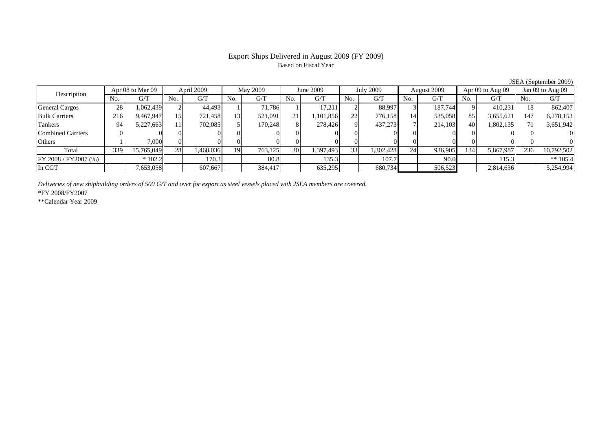## Export Ships Delivered in August 2009 (FY 2009) Based on Fiscal Year

JSEA (September 2009)

| Description           |     | Apr 08 to Mar 09 |           | April 2009 | May 2009 |         | June 2009 |           | <b>July 2009</b> |           | August 2009 |         | Apr $09$ to Aug $09$ |           | Jan 09 to Aug 09 |            |
|-----------------------|-----|------------------|-----------|------------|----------|---------|-----------|-----------|------------------|-----------|-------------|---------|----------------------|-----------|------------------|------------|
|                       | No. | G/T              | No.       | G/T        | No.      | G/T     | No.       | G/T       | No.              | G/T       | No.         | G/T     | No.                  | G/T       | No.              | G/T        |
| <b>General Cargos</b> | 28  | 1,062,439        |           | 44,493     |          | 71.786  |           | 17,211    |                  | 88,997    |             | 187,744 |                      | 410.231   |                  | 862,407    |
| <b>Bulk Carriers</b>  | 216 | 9,467,947        | 151       | 721.458    | 13       | 521,091 | 21        | 1,101,856 | 221              | 776,158   | 14          | 535,058 | 85                   | 3,655,621 | 147              | 6,278,153  |
| Tankers               | 94  | 5,227,663        |           | 702,085    |          | 170,248 |           | 278,426   |                  | 437,273   |             | 214,103 | 40                   | 1,802,135 |                  | 3,651,942  |
| Combined Carriers     |     |                  |           |            |          |         |           |           |                  |           |             |         |                      |           |                  |            |
| Others                |     | 7,000            | 01        |            |          |         |           |           |                  |           |             |         |                      |           |                  |            |
| Total                 | 339 | 15,765,049       | <b>28</b> | 1,468,036  | 19       | 763,125 | 30        | 1,397,493 | 33               | 1,302,428 | 24          | 936,905 | 134                  | 5,867,987 | 236              | 10,792,502 |
| FY 2008 / FY 2007 (%) |     | $*102.2$         |           | 170.3      |          | 80.8    |           | 135.3     |                  | 107.7     |             | 90.0    |                      | 115.3     |                  | ** $105.4$ |
| In CGT                |     | 7,653,058        |           | 607,667    |          | 384,417 |           | 635,295   |                  | 680,734   |             | 506,523 |                      | 2,814,636 |                  | 5,254,994  |

*Deliveries of new shipbuilding orders of 500 G/T and over for export as steel vessels placed with JSEA members are covered.*

\*FY 2008/FY2007

\*\*Calendar Year 2009